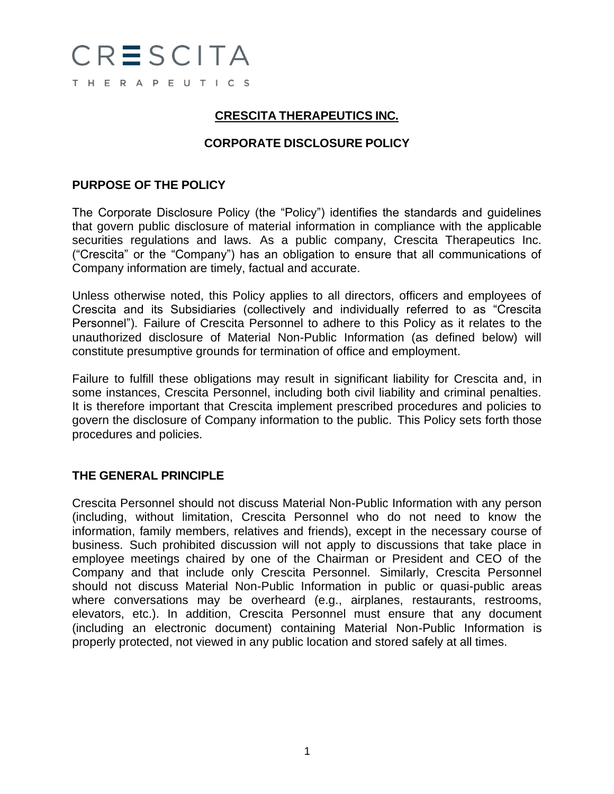

#### **CRESCITA THERAPEUTICS INC.**

## **CORPORATE DISCLOSURE POLICY**

#### **PURPOSE OF THE POLICY**

The Corporate Disclosure Policy (the "Policy") identifies the standards and guidelines that govern public disclosure of material information in compliance with the applicable securities regulations and laws. As a public company, Crescita Therapeutics Inc. ("Crescita" or the "Company") has an obligation to ensure that all communications of Company information are timely, factual and accurate.

Unless otherwise noted, this Policy applies to all directors, officers and employees of Crescita and its Subsidiaries (collectively and individually referred to as "Crescita Personnel"). Failure of Crescita Personnel to adhere to this Policy as it relates to the unauthorized disclosure of Material Non-Public Information (as defined below) will constitute presumptive grounds for termination of office and employment.

Failure to fulfill these obligations may result in significant liability for Crescita and, in some instances, Crescita Personnel, including both civil liability and criminal penalties. It is therefore important that Crescita implement prescribed procedures and policies to govern the disclosure of Company information to the public. This Policy sets forth those procedures and policies.

#### **THE GENERAL PRINCIPLE**

Crescita Personnel should not discuss Material Non-Public Information with any person (including, without limitation, Crescita Personnel who do not need to know the information, family members, relatives and friends), except in the necessary course of business. Such prohibited discussion will not apply to discussions that take place in employee meetings chaired by one of the Chairman or President and CEO of the Company and that include only Crescita Personnel. Similarly, Crescita Personnel should not discuss Material Non-Public Information in public or quasi-public areas where conversations may be overheard (e.g., airplanes, restaurants, restrooms, elevators, etc.). In addition, Crescita Personnel must ensure that any document (including an electronic document) containing Material Non-Public Information is properly protected, not viewed in any public location and stored safely at all times.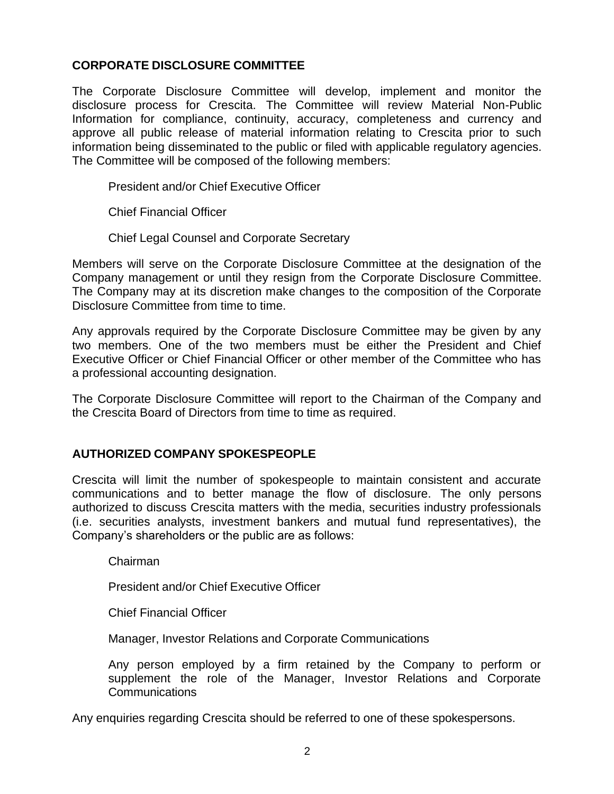### **CORPORATE DISCLOSURE COMMITTEE**

The Corporate Disclosure Committee will develop, implement and monitor the disclosure process for Crescita. The Committee will review Material Non-Public Information for compliance, continuity, accuracy, completeness and currency and approve all public release of material information relating to Crescita prior to such information being disseminated to the public or filed with applicable regulatory agencies. The Committee will be composed of the following members:

President and/or Chief Executive Officer

Chief Financial Officer

Chief Legal Counsel and Corporate Secretary

Members will serve on the Corporate Disclosure Committee at the designation of the Company management or until they resign from the Corporate Disclosure Committee. The Company may at its discretion make changes to the composition of the Corporate Disclosure Committee from time to time.

Any approvals required by the Corporate Disclosure Committee may be given by any two members. One of the two members must be either the President and Chief Executive Officer or Chief Financial Officer or other member of the Committee who has a professional accounting designation.

The Corporate Disclosure Committee will report to the Chairman of the Company and the Crescita Board of Directors from time to time as required.

#### **AUTHORIZED COMPANY SPOKESPEOPLE**

Crescita will limit the number of spokespeople to maintain consistent and accurate communications and to better manage the flow of disclosure. The only persons authorized to discuss Crescita matters with the media, securities industry professionals (i.e. securities analysts, investment bankers and mutual fund representatives), the Company's shareholders or the public are as follows:

Chairman

President and/or Chief Executive Officer

Chief Financial Officer

Manager, Investor Relations and Corporate Communications

Any person employed by a firm retained by the Company to perform or supplement the role of the Manager, Investor Relations and Corporate Communications

Any enquiries regarding Crescita should be referred to one of these spokespersons.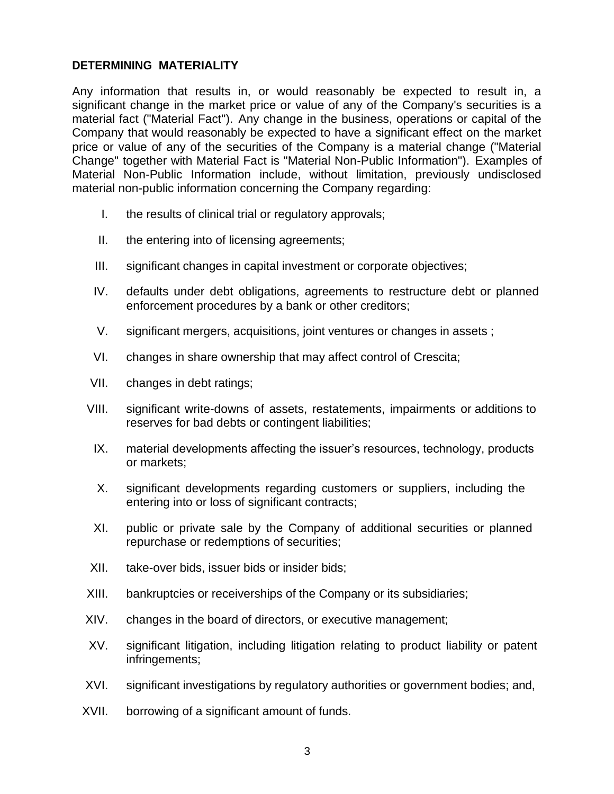#### **DETERMINING MATERIALITY**

Any information that results in, or would reasonably be expected to result in, a significant change in the market price or value of any of the Company's securities is a material fact ("Material Fact"). Any change in the business, operations or capital of the Company that would reasonably be expected to have a significant effect on the market price or value of any of the securities of the Company is a material change ("Material Change" together with Material Fact is "Material Non-Public Information"). Examples of Material Non-Public Information include, without limitation, previously undisclosed material non-public information concerning the Company regarding:

- I. the results of clinical trial or regulatory approvals;
- II. the entering into of licensing agreements;
- III. significant changes in capital investment or corporate objectives;
- IV. defaults under debt obligations, agreements to restructure debt or planned enforcement procedures by a bank or other creditors;
- V. significant mergers, acquisitions, joint ventures or changes in assets ;
- VI. changes in share ownership that may affect control of Crescita;
- VII. changes in debt ratings;
- VIII. significant write-downs of assets, restatements, impairments or additions to reserves for bad debts or contingent liabilities;
- IX. material developments affecting the issuer's resources, technology, products or markets;
- X. significant developments regarding customers or suppliers, including the entering into or loss of significant contracts;
- XI. public or private sale by the Company of additional securities or planned repurchase or redemptions of securities;
- XII. take-over bids, issuer bids or insider bids;
- XIII. bankruptcies or receiverships of the Company or its subsidiaries;
- XIV. changes in the board of directors, or executive management;
- XV. significant litigation, including litigation relating to product liability or patent infringements;
- XVI. significant investigations by regulatory authorities or government bodies; and,
- XVII. borrowing of a significant amount of funds.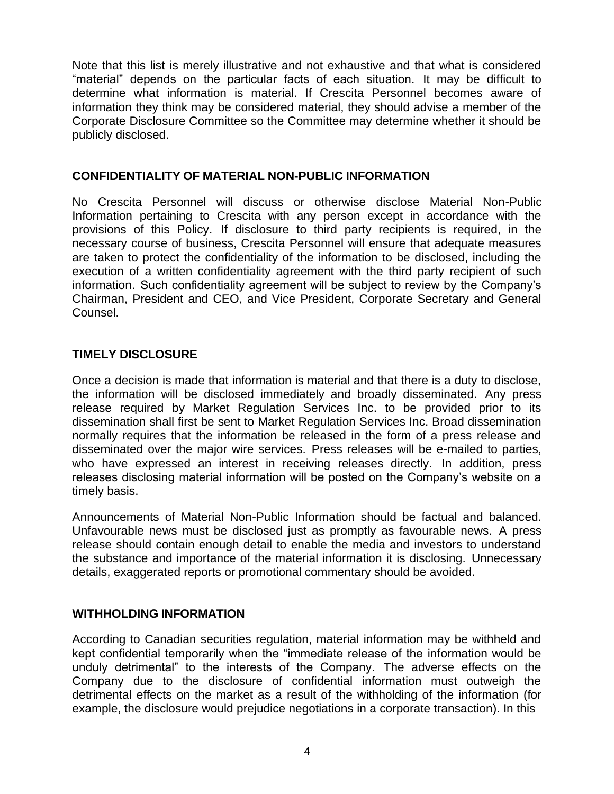Note that this list is merely illustrative and not exhaustive and that what is considered "material" depends on the particular facts of each situation. It may be difficult to determine what information is material. If Crescita Personnel becomes aware of information they think may be considered material, they should advise a member of the Corporate Disclosure Committee so the Committee may determine whether it should be publicly disclosed.

#### **CONFIDENTIALITY OF MATERIAL NON-PUBLIC INFORMATION**

No Crescita Personnel will discuss or otherwise disclose Material Non-Public Information pertaining to Crescita with any person except in accordance with the provisions of this Policy. If disclosure to third party recipients is required, in the necessary course of business, Crescita Personnel will ensure that adequate measures are taken to protect the confidentiality of the information to be disclosed, including the execution of a written confidentiality agreement with the third party recipient of such information. Such confidentiality agreement will be subject to review by the Company's Chairman, President and CEO, and Vice President, Corporate Secretary and General Counsel.

## **TIMELY DISCLOSURE**

Once a decision is made that information is material and that there is a duty to disclose, the information will be disclosed immediately and broadly disseminated. Any press release required by Market Regulation Services Inc. to be provided prior to its dissemination shall first be sent to Market Regulation Services Inc. Broad dissemination normally requires that the information be released in the form of a press release and disseminated over the major wire services. Press releases will be e-mailed to parties, who have expressed an interest in receiving releases directly. In addition, press releases disclosing material information will be posted on the Company's website on a timely basis.

Announcements of Material Non-Public Information should be factual and balanced. Unfavourable news must be disclosed just as promptly as favourable news. A press release should contain enough detail to enable the media and investors to understand the substance and importance of the material information it is disclosing. Unnecessary details, exaggerated reports or promotional commentary should be avoided.

#### **WITHHOLDING INFORMATION**

According to Canadian securities regulation, material information may be withheld and kept confidential temporarily when the "immediate release of the information would be unduly detrimental" to the interests of the Company. The adverse effects on the Company due to the disclosure of confidential information must outweigh the detrimental effects on the market as a result of the withholding of the information (for example, the disclosure would prejudice negotiations in a corporate transaction). In this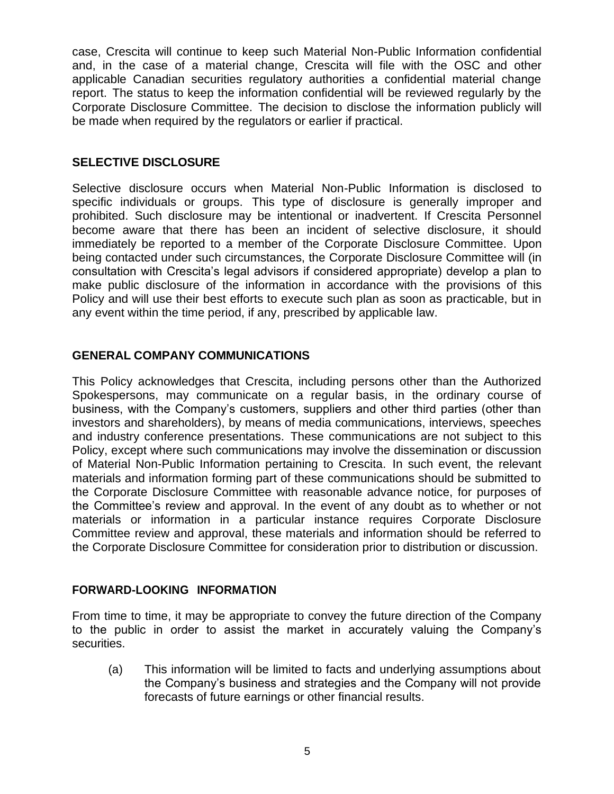case, Crescita will continue to keep such Material Non-Public Information confidential and, in the case of a material change, Crescita will file with the OSC and other applicable Canadian securities regulatory authorities a confidential material change report. The status to keep the information confidential will be reviewed regularly by the Corporate Disclosure Committee. The decision to disclose the information publicly will be made when required by the regulators or earlier if practical.

## **SELECTIVE DISCLOSURE**

Selective disclosure occurs when Material Non-Public Information is disclosed to specific individuals or groups. This type of disclosure is generally improper and prohibited. Such disclosure may be intentional or inadvertent. If Crescita Personnel become aware that there has been an incident of selective disclosure, it should immediately be reported to a member of the Corporate Disclosure Committee. Upon being contacted under such circumstances, the Corporate Disclosure Committee will (in consultation with Crescita's legal advisors if considered appropriate) develop a plan to make public disclosure of the information in accordance with the provisions of this Policy and will use their best efforts to execute such plan as soon as practicable, but in any event within the time period, if any, prescribed by applicable law.

## **GENERAL COMPANY COMMUNICATIONS**

This Policy acknowledges that Crescita, including persons other than the Authorized Spokespersons, may communicate on a regular basis, in the ordinary course of business, with the Company's customers, suppliers and other third parties (other than investors and shareholders), by means of media communications, interviews, speeches and industry conference presentations. These communications are not subject to this Policy, except where such communications may involve the dissemination or discussion of Material Non-Public Information pertaining to Crescita. In such event, the relevant materials and information forming part of these communications should be submitted to the Corporate Disclosure Committee with reasonable advance notice, for purposes of the Committee's review and approval. In the event of any doubt as to whether or not materials or information in a particular instance requires Corporate Disclosure Committee review and approval, these materials and information should be referred to the Corporate Disclosure Committee for consideration prior to distribution or discussion.

#### **FORWARD-LOOKING INFORMATION**

From time to time, it may be appropriate to convey the future direction of the Company to the public in order to assist the market in accurately valuing the Company's securities.

(a) This information will be limited to facts and underlying assumptions about the Company's business and strategies and the Company will not provide forecasts of future earnings or other financial results.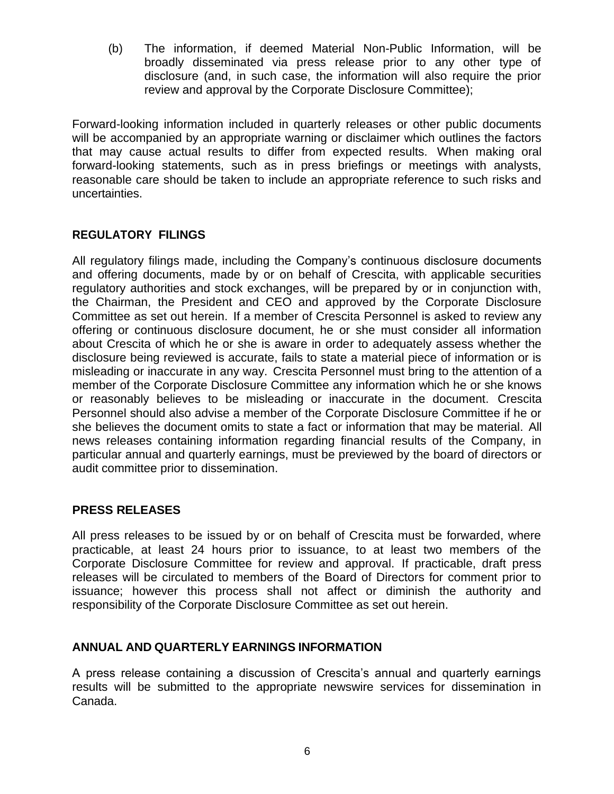(b) The information, if deemed Material Non-Public Information, will be broadly disseminated via press release prior to any other type of disclosure (and, in such case, the information will also require the prior review and approval by the Corporate Disclosure Committee);

Forward-looking information included in quarterly releases or other public documents will be accompanied by an appropriate warning or disclaimer which outlines the factors that may cause actual results to differ from expected results. When making oral forward-looking statements, such as in press briefings or meetings with analysts, reasonable care should be taken to include an appropriate reference to such risks and uncertainties.

## **REGULATORY FILINGS**

All regulatory filings made, including the Company's continuous disclosure documents and offering documents, made by or on behalf of Crescita, with applicable securities regulatory authorities and stock exchanges, will be prepared by or in conjunction with, the Chairman, the President and CEO and approved by the Corporate Disclosure Committee as set out herein. If a member of Crescita Personnel is asked to review any offering or continuous disclosure document, he or she must consider all information about Crescita of which he or she is aware in order to adequately assess whether the disclosure being reviewed is accurate, fails to state a material piece of information or is misleading or inaccurate in any way. Crescita Personnel must bring to the attention of a member of the Corporate Disclosure Committee any information which he or she knows or reasonably believes to be misleading or inaccurate in the document. Crescita Personnel should also advise a member of the Corporate Disclosure Committee if he or she believes the document omits to state a fact or information that may be material. All news releases containing information regarding financial results of the Company, in particular annual and quarterly earnings, must be previewed by the board of directors or audit committee prior to dissemination.

#### **PRESS RELEASES**

All press releases to be issued by or on behalf of Crescita must be forwarded, where practicable, at least 24 hours prior to issuance, to at least two members of the Corporate Disclosure Committee for review and approval. If practicable, draft press releases will be circulated to members of the Board of Directors for comment prior to issuance; however this process shall not affect or diminish the authority and responsibility of the Corporate Disclosure Committee as set out herein.

#### **ANNUAL AND QUARTERLY EARNINGS INFORMATION**

A press release containing a discussion of Crescita's annual and quarterly earnings results will be submitted to the appropriate newswire services for dissemination in Canada.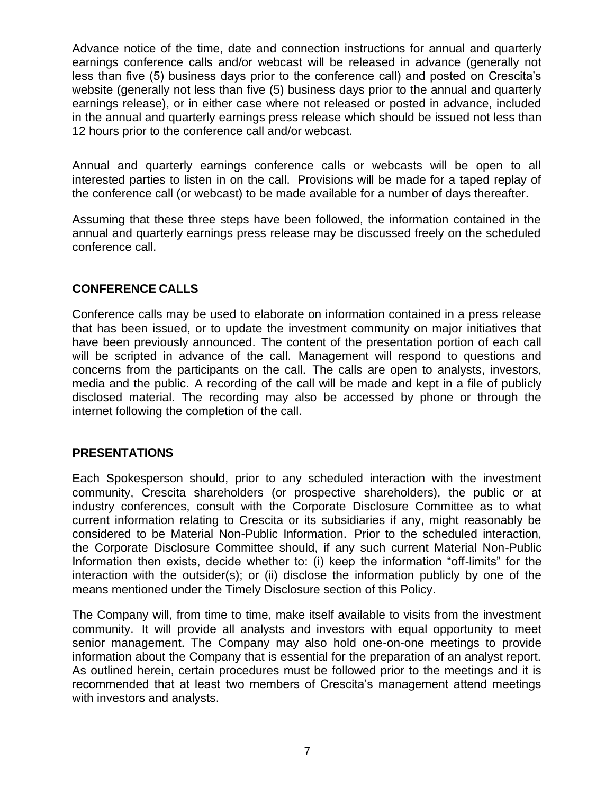Advance notice of the time, date and connection instructions for annual and quarterly earnings conference calls and/or webcast will be released in advance (generally not less than five (5) business days prior to the conference call) and posted on Crescita's website (generally not less than five (5) business days prior to the annual and quarterly earnings release), or in either case where not released or posted in advance, included in the annual and quarterly earnings press release which should be issued not less than 12 hours prior to the conference call and/or webcast.

Annual and quarterly earnings conference calls or webcasts will be open to all interested parties to listen in on the call. Provisions will be made for a taped replay of the conference call (or webcast) to be made available for a number of days thereafter.

Assuming that these three steps have been followed, the information contained in the annual and quarterly earnings press release may be discussed freely on the scheduled conference call.

# **CONFERENCE CALLS**

Conference calls may be used to elaborate on information contained in a press release that has been issued, or to update the investment community on major initiatives that have been previously announced. The content of the presentation portion of each call will be scripted in advance of the call. Management will respond to questions and concerns from the participants on the call. The calls are open to analysts, investors, media and the public. A recording of the call will be made and kept in a file of publicly disclosed material. The recording may also be accessed by phone or through the internet following the completion of the call.

#### **PRESENTATIONS**

Each Spokesperson should, prior to any scheduled interaction with the investment community, Crescita shareholders (or prospective shareholders), the public or at industry conferences, consult with the Corporate Disclosure Committee as to what current information relating to Crescita or its subsidiaries if any, might reasonably be considered to be Material Non-Public Information. Prior to the scheduled interaction, the Corporate Disclosure Committee should, if any such current Material Non-Public Information then exists, decide whether to: (i) keep the information "off-limits" for the interaction with the outsider(s); or (ii) disclose the information publicly by one of the means mentioned under the Timely Disclosure section of this Policy.

The Company will, from time to time, make itself available to visits from the investment community. It will provide all analysts and investors with equal opportunity to meet senior management. The Company may also hold one-on-one meetings to provide information about the Company that is essential for the preparation of an analyst report. As outlined herein, certain procedures must be followed prior to the meetings and it is recommended that at least two members of Crescita's management attend meetings with investors and analysts.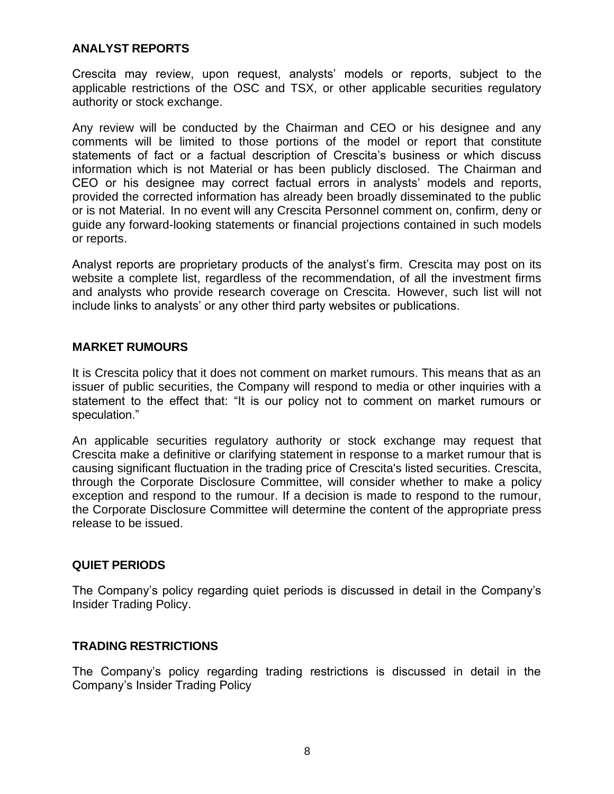#### **ANALYST REPORTS**

Crescita may review, upon request, analysts' models or reports, subject to the applicable restrictions of the OSC and TSX, or other applicable securities regulatory authority or stock exchange.

Any review will be conducted by the Chairman and CEO or his designee and any comments will be limited to those portions of the model or report that constitute statements of fact or a factual description of Crescita's business or which discuss information which is not Material or has been publicly disclosed. The Chairman and CEO or his designee may correct factual errors in analysts' models and reports, provided the corrected information has already been broadly disseminated to the public or is not Material. In no event will any Crescita Personnel comment on, confirm, deny or guide any forward-looking statements or financial projections contained in such models or reports.

Analyst reports are proprietary products of the analyst's firm. Crescita may post on its website a complete list, regardless of the recommendation, of all the investment firms and analysts who provide research coverage on Crescita. However, such list will not include links to analysts' or any other third party websites or publications.

#### **MARKET RUMOURS**

It is Crescita policy that it does not comment on market rumours. This means that as an issuer of public securities, the Company will respond to media or other inquiries with a statement to the effect that: "It is our policy not to comment on market rumours or speculation."

An applicable securities regulatory authority or stock exchange may request that Crescita make a definitive or clarifying statement in response to a market rumour that is causing significant fluctuation in the trading price of Crescita's listed securities. Crescita, through the Corporate Disclosure Committee, will consider whether to make a policy exception and respond to the rumour. If a decision is made to respond to the rumour, the Corporate Disclosure Committee will determine the content of the appropriate press release to be issued.

#### **QUIET PERIODS**

The Company's policy regarding quiet periods is discussed in detail in the Company's Insider Trading Policy.

#### **TRADING RESTRICTIONS**

The Company's policy regarding trading restrictions is discussed in detail in the Company's Insider Trading Policy